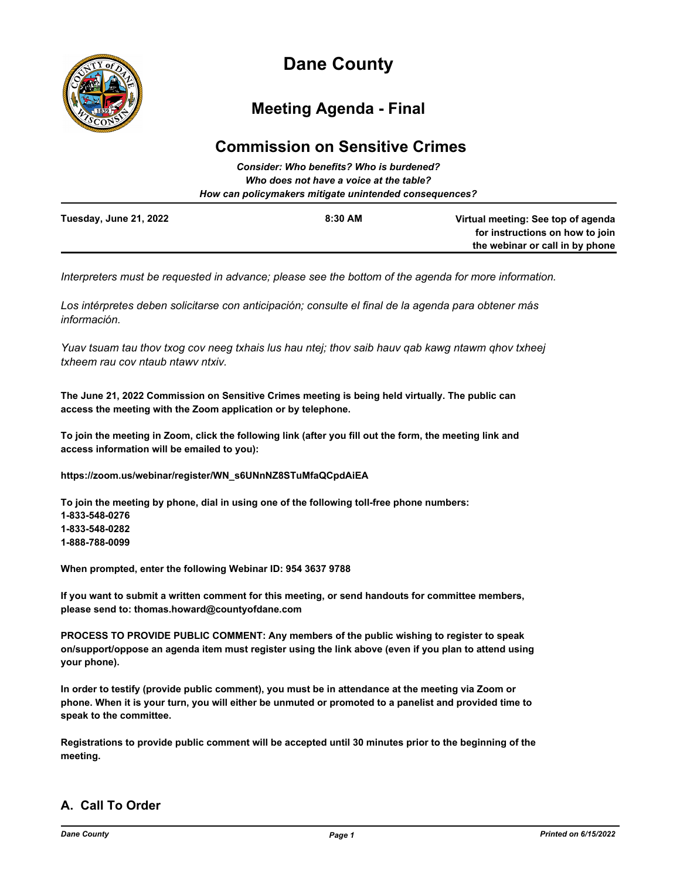

# **Dane County**

## **Meeting Agenda - Final**

### **Commission on Sensitive Crimes**

|                                                                                                   | Consider: Who benefits? Who is burdened? |                                                                    |
|---------------------------------------------------------------------------------------------------|------------------------------------------|--------------------------------------------------------------------|
| Who does not have a voice at the table?<br>How can policymakers mitigate unintended consequences? |                                          |                                                                    |
|                                                                                                   |                                          |                                                                    |
|                                                                                                   |                                          | for instructions on how to join<br>the webinar or call in by phone |

*Interpreters must be requested in advance; please see the bottom of the agenda for more information.*

*Los intérpretes deben solicitarse con anticipación; consulte el final de la agenda para obtener más información.*

*Yuav tsuam tau thov txog cov neeg txhais lus hau ntej; thov saib hauv qab kawg ntawm qhov txheej txheem rau cov ntaub ntawv ntxiv.*

**The June 21, 2022 Commission on Sensitive Crimes meeting is being held virtually. The public can access the meeting with the Zoom application or by telephone.**

**To join the meeting in Zoom, click the following link (after you fill out the form, the meeting link and access information will be emailed to you):**

**https://zoom.us/webinar/register/WN\_s6UNnNZ8STuMfaQCpdAiEA**

**To join the meeting by phone, dial in using one of the following toll-free phone numbers: 1-833-548-0276 1-833-548-0282 1-888-788-0099**

**When prompted, enter the following Webinar ID: 954 3637 9788**

**If you want to submit a written comment for this meeting, or send handouts for committee members, please send to: thomas.howard@countyofdane.com**

**PROCESS TO PROVIDE PUBLIC COMMENT: Any members of the public wishing to register to speak on/support/oppose an agenda item must register using the link above (even if you plan to attend using your phone).**

**In order to testify (provide public comment), you must be in attendance at the meeting via Zoom or phone. When it is your turn, you will either be unmuted or promoted to a panelist and provided time to speak to the committee.**

**Registrations to provide public comment will be accepted until 30 minutes prior to the beginning of the meeting.**

#### **A. Call To Order**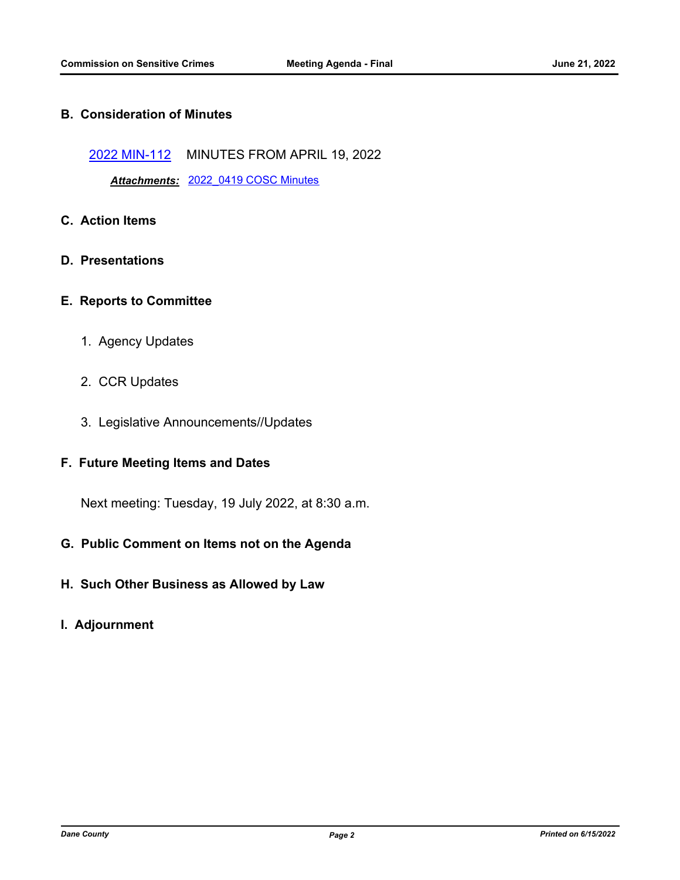#### **B. Consideration of Minutes**

[2022 MIN-112](http://dane.legistar.com/gateway.aspx?m=l&id=/matter.aspx?key=23072) MINUTES FROM APRIL 19, 2022

*Attachments:* [2022\\_0419 COSC Minutes](http://dane.legistar.com/gateway.aspx?M=F&ID=e769c9da-6048-4061-b4ef-90efd909488c.pdf)

- **C. Action Items**
- **D. Presentations**
- **E. Reports to Committee**
	- 1. Agency Updates
	- 2. CCR Updates
	- 3. Legislative Announcements//Updates

#### **F. Future Meeting Items and Dates**

Next meeting: Tuesday, 19 July 2022, at 8:30 a.m.

- **G. Public Comment on Items not on the Agenda**
- **H. Such Other Business as Allowed by Law**
- **I. Adjournment**